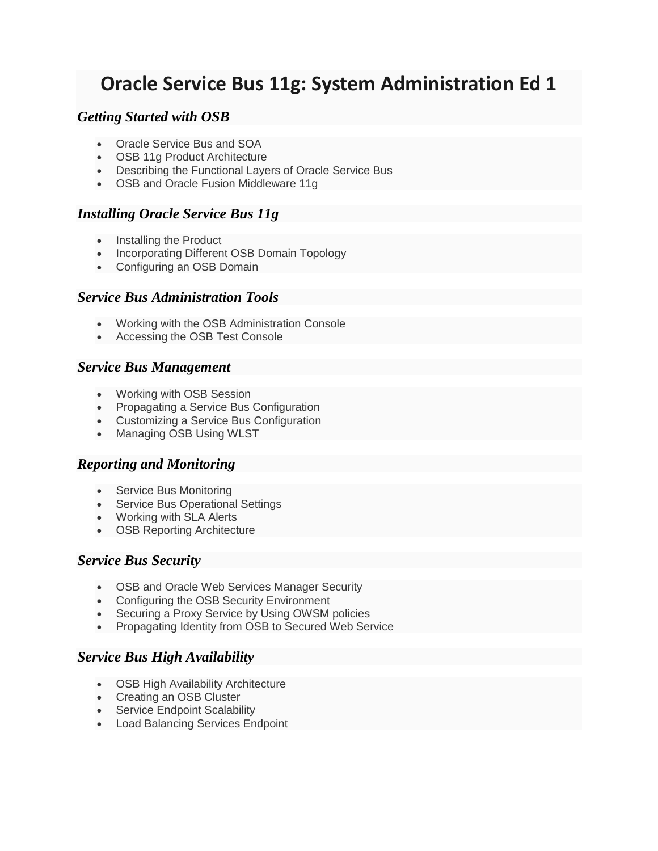# **Oracle Service Bus 11g: System Administration Ed 1**

# *Getting Started with OSB*

- Oracle Service Bus and SOA
- OSB 11g Product Architecture
- Describing the Functional Layers of Oracle Service Bus
- OSB and Oracle Fusion Middleware 11g

# *Installing Oracle Service Bus 11g*

- Installing the Product
- Incorporating Different OSB Domain Topology
- Configuring an OSB Domain

#### *Service Bus Administration Tools*

- Working with the OSB Administration Console
- Accessing the OSB Test Console

#### *Service Bus Management*

- Working with OSB Session
- Propagating a Service Bus Configuration
- Customizing a Service Bus Configuration
- Managing OSB Using WLST

#### *Reporting and Monitoring*

- Service Bus Monitoring
- Service Bus Operational Settings
- Working with SLA Alerts
- OSB Reporting Architecture

#### *Service Bus Security*

- OSB and Oracle Web Services Manager Security
- Configuring the OSB Security Environment
- Securing a Proxy Service by Using OWSM policies
- Propagating Identity from OSB to Secured Web Service

# *Service Bus High Availability*

- OSB High Availability Architecture
- Creating an OSB Cluster
- Service Endpoint Scalability
- Load Balancing Services Endpoint